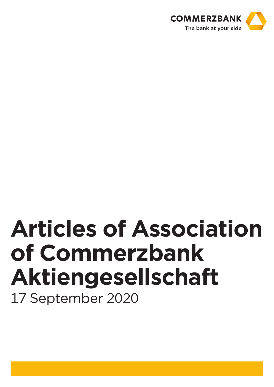

# **Articles of Association of Commerzbank Aktiengesellschaft** 17 September 2020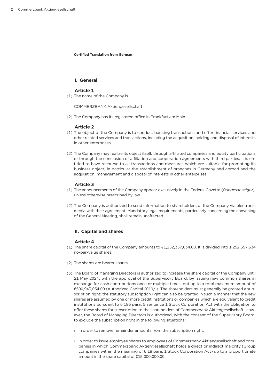**Certified Translation from German**

## **I. General**

## **Article 1**

(1) The name of the Company is

COMMERZBANK Aktiengesellschaft

(2) The Company has its registered office in Frankfurt am Main.

# **Article 2**

- (1) The object of the Company is to conduct banking transactions and offer financial services and other related services and transactions, including the acquisition, holding and disposal of interests in other enterprises.
- (2) The Company may realize its object itself, through affiliated companies and equity participations or through the conclusion of affiliation and cooperation agreements with third parties. It is entitled to have recourse to all transactions and measures which are suitable for promoting its business object, in particular the establishment of branches in Germany and abroad and the acquisition, management and disposal of interests in other enterprises.

# **Article 3**

- (1) The announcements of the Company appear exclusively in the Federal Gazette (*Bundesanzeiger*), unless otherwise prescribed by law.
- (2) The Company is authorized to send information to shareholders of the Company via electronic media with their agreement. Mandatory legal requirements, particularly concerning the convening of the General Meeting, shall remain unaffected.

# **II. Capital and shares**

- (1) The share capital of the Company amounts to  $£1,252,357,634.00$ . It is divided into  $1,252,357,634$ no-par-value shares.
- (2) The shares are bearer shares.
- (3) The Board of Managing Directors is authorized to increase the share capital of the Company until 21 May 2024, with the approval of the Supervisory Board, by issuing new common shares in exchange for cash contributions once or multiple times, but up to a total maximum amount of €500,943,054.00 (Authorized Capital 2019/I). The shareholders must generally be granted a subscription right; the statutory subscription right can also be granted in such a manner that the new shares are assumed by one or more credit institutions or companies which are equivalent to credit institutions pursuant to § 186 para. 5 sentence 1 Stock Corporation Act with the obligation to offer these shares for subscription to the shareholders of Commerzbank Aktiengesellschaft. However, the Board of Managing Directors is authorized, with the consent of the Supervisory Board, to exclude the subscription right in the following situations:
	- $\rightarrow$  in order to remove remainder amounts from the subscription right;
	- › in order to issue employee shares to employees of Commerzbank Aktiengesellschaft and companies in which Commerzbank Aktiengesellschaft holds a direct or indirect majority (Group companies within the meaning of § 18 para. 1 Stock Corporation Act) up to a proportionate amount in the share capital of €15,000,000.00.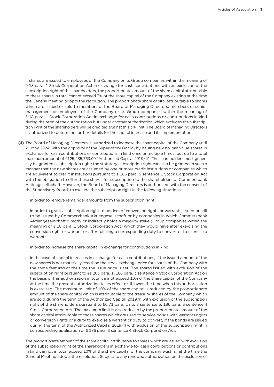If shares are issued to employees of the Company or its Group companies within the meaning of § 18 para. 1 Stock Corporation Act in exchange for cash contributions with an exclusion of the subscription right of the shareholders, the proportionate amount of the share capital attributable to these shares in total cannot exceed 3% of the share capital of the Company existing at the time the General Meeting adopts the resolution. The proportionate share capital attributable to shares which are issued or sold to members of the Board of Managing Directors, members of senior management or employees of the Company or its Group companies within the meaning of § 18 para. 1 Stock Corporation Act in exchange for cash contributions or contributions in kind during the term of the authorization but under another authorization which excludes the subscription right of the shareholders will be credited against this 3% limit. The Board of Managing Directors is authorized to determine further details for the capital increase and its implementation.

- (4) The Board of Managing Directors is authorized to increase the share capital of the Company until 21 May 2024, with the approval of the Supervisory Board, by issuing new no-par-value shares in exchange for cash contributions or contributions in kind once or multiple times, but up to a total maximum amount of €125,235,763.00 (Authorized Capital 2019/II). The shareholders must generally be granted a subscription right; the statutory subscription right can also be granted in such a manner that the new shares are assumed by one or more credit institutions or companies which are equivalent to credit institutions pursuant to § 186 para. 5 sentence 1 Stock Corporation Act with the obligation to offer these shares for subscription to the shareholders of Commerzbank Aktiengesellschaft. However, the Board of Managing Directors is authorized, with the consent of the Supervisory Board, to exclude the subscription right in the following situations:
	- $\rightarrow$  in order to remove remainder amounts from the subscription right;
	- $\rightarrow$  in order to grant a subscription right to holders of conversion rights or warrants issued or still to be issued by Commerzbank Aktiengesellschaft or by companies in which Commerzbank Aktiengesellschaft directly or indirectly holds a majority stake (Group companies within the meaning of § 18 para. 1 Stock Corporation Act) which they would have after exercising the conversion right or warrant or after fulfilling a corresponding duty to convert or to exercise a warrant;
	- $\rightarrow$  in order to increase the share capital in exchange for contributions in kind;
	- $\rightarrow$  in the case of capital increases in exchange for cash contributions, if the issued amount of the new shares is not materially less than the stock exchange price for shares of the Company with the same features at the time the issue price is set. The shares issued with exclusion of the subscription right pursuant to §§ 203 para. 1, 186 para. 3 sentence 4 Stock Corporation Act on the basis of this authorization in total cannot exceed 10% of the share capital of the Company at the time the present authorization takes effect or, if lower, the time when this authorization is exercised. The maximum limit of 10% of the share capital is reduced by the proportionate amount of the share capital which is attributable to the treasury shares of the Company which are sold during the term of the Authorized Capital 2019/II with exclusion of the subscription right of the shareholders pursuant to §§ 71 para. 1 no. 8 sentence 5, 186 para. 3 sentence 4 Stock Corporation Act. The maximum limit is also reduced by the proportionate amount of the share capital attributable to those shares which are used to service bonds with warrants rights or conversion rights or a duty to exercise a warrant or duty to convert, if the bonds are issued during the term of the Authorized Capital 2019/II with exclusion of the subscription right in corresponding application of § 186 para. 3 sentence 4 Stock Corporation Act.

The proportionate amount of the share capital attributable to shares which are issued with exclusion of the subscription right of the shareholders in exchange for cash contributions or contributions in kind cannot in total exceed 10% of the share capital of the company existing at the time the General Meeting adopts the resolution. Subject to any renewed authorization on the exclusion of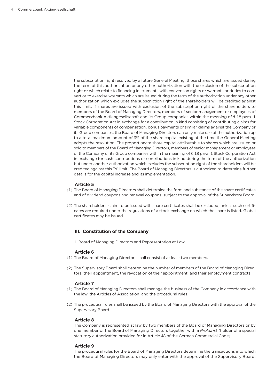the subscription right resolved by a future General Meeting, those shares which are issued during the term of this authorization or any other authorization with the exclusion of the subscription right or which relate to financing instruments with conversion rights or warrants or duties to convert or to exercise warrants which are issued during the term of the authorization under any other authorization which excludes the subscription right of the shareholders will be credited against this limit. If shares are issued with exclusion of the subscription right of the shareholders to members of the Board of Managing Directors, members of senior management or employees of Commerzbank Aktiengesellschaft and its Group companies within the meaning of § 18 para. 1 Stock Corporation Act in exchange for a contribution in kind consisting of contributing claims for variable components of compensation, bonus payments or similar claims against the Company or its Group companies, the Board of Managing Directors can only make use of the authorization up to a total maximum amount of 3% of the share capital existing at the time the General Meeting adopts the resolution. The proportionate share capital attributable to shares which are issued or sold to members of the Board of Managing Directors, members of senior management or employees of the Company or its Group companies within the meaning of § 18 para. 1 Stock Corporation Act in exchange for cash contributions or contributions in kind during the term of the authorization but under another authorization which excludes the subscription right of the shareholders will be credited against this 3% limit. The Board of Managing Directors is authorized to determine further details for the capital increase and its implementation.

## **Article 5**

- (1) The Board of Managing Directors shall determine the form and substance of the share certificates and of dividend coupons and renewal coupons, subject to the approval of the Supervisory Board.
- (2) The shareholder's claim to be issued with share certificates shall be excluded, unless such certificates are required under the regulations of a stock exchange on which the share is listed. Global certificates may be issued.

## **III. Constitution of the Company**

1. Board of Managing Directors and Representation at Law

#### **Article 6**

- (1) The Board of Managing Directors shall consist of at least two members.
- (2) The Supervisory Board shall determine the number of members of the Board of Managing Directors, their appointment, the revocation of their appointment, and their employment contracts.

#### **Article 7**

- (1) The Board of Managing Directors shall manage the business of the Company in accordance with the law, the Articles of Association, and the procedural rules.
- (2) The procedural rules shall be issued by the Board of Managing Directors with the approval of the Supervisory Board.

#### **Article 8**

The Company is represented at law by two members of the Board of Managing Directors or by one member of the Board of Managing Directors together with a *Prokurist* (holder of a special statutory authorization provided for in Article 48 of the German Commercial Code).

#### **Article 9**

The procedural rules for the Board of Managing Directors determine the transactions into which the Board of Managing Directors may only enter with the approval of the Supervisory Board.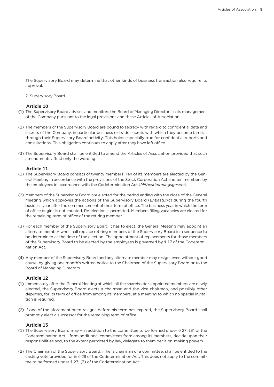The Supervisory Board may determine that other kinds of business transaction also require its approval.

2. Supervisory Board

## **Article 10**

- (1) The Supervisory Board advises and monitors the Board of Managing Directors in its management of the Company pursuant to the legal provisions and these Articles of Association.
- (2) The members of the Supervisory Board are bound to secrecy with regard to confidential data and secrets of the Company, in particular business or trade secrets with which they become familiar through their Supervisory Board activity. This holds especially true for confidential reports and consultations. This obligation continues to apply after they have left office.
- (3) The Supervisory Board shall be entitled to amend the Articles of Association provided that such amendments affect only the wording.

# **Article 11**

- (1) The Supervisory Board consists of twenty members. Ten of its members are elected by the General Meeting in accordance with the provisions of the Stock Corporation Act and ten members by the employees in accordance with the Codetermination Act (*Mitbestimmungsgesetz*).
- (2) Members of the Supervisory Board are elected for the period ending with the close of the General Meeting which approves the actions of the Supervisory Board (*Entlastung*) during the fourth business year after the commencement of their term of office. The business year in which the term of office begins is not counted. Re-election is permitted. Members filling vacancies are elected for the remaining term of office of the retiring member.
- (3) For each member of the Supervisory Board it has to elect, the General Meeting may appoint an alternate member who shall replace retiring members of the Supervisory Board in a sequence to be determined at the time of the election. The appointment of replacements for those members of the Supervisory Board to be elected by the employees is governed by § 17 of the Codetermination Act.
- (4) Any member of the Supervisory Board and any alternate member may resign, even without good cause, by giving one month's written notice to the Chairman of the Supervisory Board or to the Board of Managing Directors.

# **Article 12**

- (1) Immediately after the General Meeting at which all the shareholder-appointed members are newly elected, the Supervisory Board elects a chairman and the vice-chairman, and possibly other deputies, for its term of office from among its members, at a meeting to which no special invitation is required.
- (2) If one of the aforementioned resigns before his term has expired, the Supervisory Board shall promptly elect a successor for the remaining term of office.

- (1) The Supervisory Board may in addition to the committee to be formed under § 27, (3) of the Codetermination Act – form additional committees from among its members, decide upon their responsibilities and, to the extent permitted by law, delegate to them decision-making powers.
- (2) The Chairman of the Supervisory Board, if he is chairman of a committee, shall be entitled to the casting vote provided for in § 29 of the Codetermination Act. This does not apply to the committee to be formed under § 27, (3) of the Codetermination Act.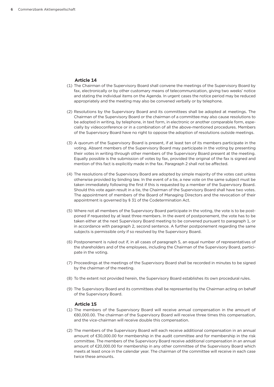# **Article 14**

- (1) The Chairman of the Supervisory Board shall convene the meetings of the Supervisory Board by fax, electronically or by other customary means of telecommunication, giving two weeks' notice and stating the individual items on the Agenda. In urgent cases the notice period may be reduced appropriately and the meeting may also be convened verbally or by telephone.
- (2) Resolutions by the Supervisory Board and its committees shall be adopted at meetings. The Chairman of the Supervisory Board or the chairman of a committee may also cause resolutions to be adopted in writing, by telephone, in text form, in electronic or another comparable form, especially by videoconference or in a combination of all the above-mentioned procedures. Members of the Supervisory Board have no right to oppose the adoption of resolutions outside meetings.
- (3) A quorum of the Supervisory Board is present, if at least ten of its members participate in the voting. Absent members of the Supervisory Board may participate in the voting by presenting their votes in writing through other members of the Supervisory Board present at the meeting. Equally possible is the submission of votes by fax, provided the original of the fax is signed and mention of this fact is explicitly made in the fax. Paragraph 2 shall not be affected.
- (4) The resolutions of the Supervisory Board are adopted by simple majority of the votes cast unless otherwise provided by binding law. In the event of a tie, a new vote on the same subject must be taken immediately following the first if this is requested by a member of the Supervisory Board. Should this vote again result in a tie, the Chairman of the Supervisory Board shall have two votes. The appointment of members of the Board of Managing Directors and the revocation of their appointment is governed by § 31 of the Codetermination Act.
- (5) Where not all members of the Supervisory Board participate in the voting, the vote is to be postponed if requested by at least three members. In the event of postponement, the vote has to be taken either at the next Supervisory Board meeting to be convened pursuant to paragraph 1, or in accordance with paragraph 2, second sentence. A further postponement regarding the same subjects is permissible only if so resolved by the Supervisory Board.
- (6) Postponement is ruled out if, in all cases of paragraph 5, an equal number of representatives of the shareholders and of the employees, including the Chairman of the Supervisory Board, participate in the voting.
- (7) Proceedings at the meetings of the Supervisory Board shall be recorded in minutes to be signed by the chairman of the meeting.
- (8) To the extent not provided herein, the Supervisory Board establishes its own procedural rules.
- (9) The Supervisory Board and its committees shall be represented by the Chairman acting on behalf of the Supervisory Board.

- (1) The members of the Supervisory Board will receive annual compensation in the amount of €80,000.00. The chairman of the Supervisory Board will receive three times this compensation, and the vice-chairman will receive double this compensation.
- (2) The members of the Supervisory Board will each receive additional compensation in an annual amount of €30,000.00 for membership in the audit committee and for membership in the risk committee. The members of the Supervisory Board receive additional compensation in an annual amount of €20,000.00 for membership in any other committee of the Supervisory Board which meets at least once in the calendar year. The chairman of the committee will receive in each case twice these amounts.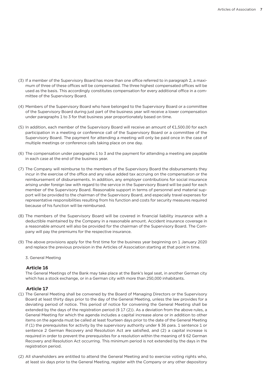- (3) If a member of the Supervisory Board has more than one office referred to in paragraph 2, a maximum of three of these offices will be compensated. The three highest compensated offices will be used as the basis. This accordingly constitutes compensation for every additional office in a committee of the Supervisory Board.
- (4) Members of the Supervisory Board who have belonged to the Supervisory Board or a committee of the Supervisory Board during just part of the business year will receive a lower compensation under paragraphs 1 to 3 for that business year proportionately based on time.
- (5) In addition, each member of the Supervisory Board will receive an amount of €1,500.00 for each participation in a meeting or conference call of the Supervisory Board or a committee of the Supervisory Board. The payment for attending a meeting will only be paid once in the case of multiple meetings or conference calls taking place on one day.
- (6) The compensation under paragraphs 1 to 3 and the payment for attending a meeting are payable in each case at the end of the business year.
- (7) The Company will reimburse to the members of the Supervisory Board the disbursements they incur in the exercise of the office and any value added tax accruing on the compensation or the reimbursement of disbursements. In addition, any employer contributions for social insurance arising under foreign law with regard to the service in the Supervisory Board will be paid for each member of the Supervisory Board. Reasonable support in terms of personnel and material support will be provided to the chairman of the Supervisory Board, and especially travel expenses for representative responsibilities resulting from his function and costs for security measures required because of his function will be reimbursed.
- (8) The members of the Supervisory Board will be covered in financial liability insurance with a deductible maintained by the Company in a reasonable amount. Accident insurance coverage in a reasonable amount will also be provided for the chairman of the Supervisory Board. The Company will pay the premiums for the respective insurance.
- (9) The above provisions apply for the first time for the business year beginning on 1 January 2020 and replace the previous provision in the Articles of Association starting at that point in time.
	- 3. General Meeting

## **Article 16**

The General Meetings of the Bank may take place at the Bank's legal seat, in another German city which has a stock exchange, or in a German city with more than 250,000 inhabitants.

- (1) The General Meeting shall be convened by the Board of Managing Directors or the Supervisory Board at least thirty days prior to the day of the General Meeting, unless the law provides for a deviating period of notice. This period of notice for convening the General Meeting shall be extended by the days of the registration period (§ 17 (2)). As a deviation from the above rules, a General Meeting for which the agenda includes a capital increase alone or in addition to other items on the agenda must be called at least fourteen days prior to the date of the General Meeting if (1) the prerequisites for activity by the supervisory authority under § 36 para. 1 sentence 1 or sentence 2 German Recovery and Resolution Act are satisfied, and (2) a capital increase is required in order to prevent the prerequisites for a resolution within the meaning of § 62 German Recovery and Resolution Act occurring. This minimum period is not extended by the days in the registration period.
- (2) All shareholders are entitled to attend the General Meeting and to exercise voting rights who, at least six days prior to the General Meeting, register with the Company or any other depository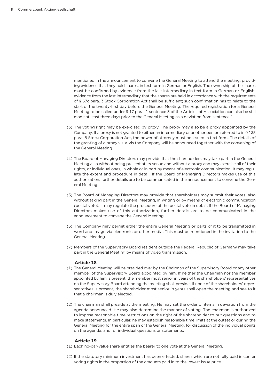mentioned in the announcement to convene the General Meeting to attend the meeting, providing evidence that they hold shares, in text form in German or English. The ownership of the shares must be confirmed by evidence from the last intermediary in text form in German or English; evidence from the last intermediary that the shares are held in accordance with the requirements of § 67c para. 3 Stock Corporation Act shall be sufficient; such confirmation has to relate to the start of the twenty-first day before the General Meeting. The required registration for a General Meeting to be called under § 17 para. 1 sentence 3 of the Articles of Association can also be still made at least three days prior to the General Meeting as a deviation from sentence 1.

- (3) The voting right may be exercised by proxy. The proxy may also be a proxy appointed by the Company. If a proxy is not granted to either an intermediary or another person referred to in § 135 para. 8 Stock Corporation Act, the power of attorney must be issued in text form. The details of the granting of a proxy vis-a-vis the Company will be announced together with the convening of the General Meeting.
- (4) The Board of Managing Directors may provide that the shareholders may take part in the General Meeting also without being present at its venue and without a proxy and may exercise all of their rights, or individual ones, in whole or in part by means of electronic communication. It may regulate the extent and procedure in detail. If the Board of Managing Directors makes use of this authorization, further details are to be communicated in the announcement to convene the General Meeting.
- (5) The Board of Managing Directors may provide that shareholders may submit their votes, also without taking part in the General Meeting, in writing or by means of electronic communication (postal vote). It may regulate the procedure of the postal vote in detail. If the Board of Managing Directors makes use of this authorization, further details are to be communicated in the announcement to convene the General Meeting.
- (6) The Company may permit either the entire General Meeting or parts of it to be transmitted in word and image via electronic or other media. This must be mentioned in the invitation to the General Meeting.
- (7) Members of the Supervisory Board resident outside the Federal Republic of Germany may take part in the General Meeting by means of video transmission.

#### **Article 18**

- (1) The General Meeting will be presided over by the Chairman of the Supervisory Board or any other member of the Supervisory Board appointed by him. If neither the Chairman nor the member appointed by him is present, the member most senior in years of the shareholders' representatives on the Supervisory Board attending the meeting shall preside. If none of the shareholders' representatives is present, the shareholder most senior in years shall open the meeting and see to it that a chairman is duly elected.
- (2) The chairman shall preside at the meeting. He may set the order of items in deviation from the agenda announced. He may also determine the manner of voting. The chairman is authorized to impose reasonable time restrictions on the right of the shareholder to put questions and to make statements. In particular, he may establish reasonable time limits at the outset or during the General Meeting for the entire span of the General Meeting, for discussion of the individual points on the agenda, and for individual questions or statements.

- (1) Each no-par-value share entitles the bearer to one vote at the General Meeting.
- (2) If the statutory minimum investment has been effected, shares which are not fully paid in confer voting rights in the proportion of the amounts paid in to the lowest issue price.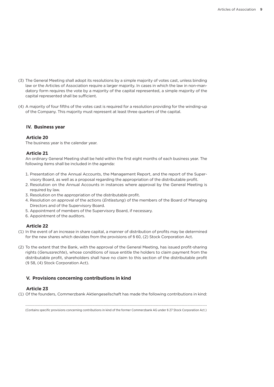- (3) The General Meeting shall adopt its resolutions by a simple majority of votes cast, unless binding law or the Articles of Association require a larger majority. In cases in which the law in non-mandatory form requires the vote by a majority of the capital represented, a simple majority of the capital represented shall be sufficient.
- (4) A majority of four fifths of the votes cast is required for a resolution providing for the winding-up of the Company. This majority must represent at least three quarters of the capital.

# **IV. Business year**

## **Article 20**

The business year is the calendar year.

## **Article 21**

An ordinary General Meeting shall be held within the first eight months of each business year. The following items shall be included in the agenda:

- 1. Presentation of the Annual Accounts, the Management Report, and the report of the Supervisory Board, as well as a proposal regarding the appropriation of the distributable profit.
- 2. Resolution on the Annual Accounts in instances where approval by the General Meeting is required by law.
- 3. Resolution on the appropriation of the distributable profit.
- 4. Resolution on approval of the actions (*Entlastung*) of the members of the Board of Managing Directors and of the Supervisory Board.
- 5. Appointment of members of the Supervisory Board, if necessary.
- 6. Appointment of the auditors.

## **Article 22**

- (1) In the event of an increase in share capital, a manner of distribution of profits may be determined for the new shares which deviates from the provisions of § 60, (2) Stock Corporation Act.
- (2) To the extent that the Bank, with the approval of the General Meeting, has issued profit-sharing rights (*Genussrechte*), whose conditions of issue entitle the holders to claim payment from the distributable profit, shareholders shall have no claim to this section of the distributable profit (§ 58, (4) Stock Corporation Act).

# **V. Provisions concerning contributions in kind**

# **Article 23**

(1) Of the founders, Commerzbank Aktiengesellschaft has made the following contributions in kind:

................................................................................................................................................................ (Contains specific provisions concerning contributions in kind of the former Commerzbank AG under § 27 Stock Corporation Act.)